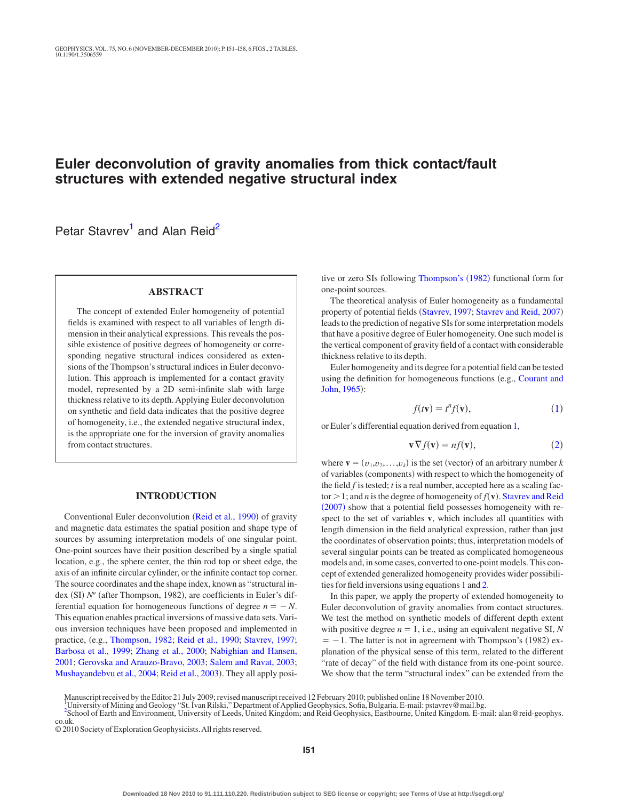# **Euler deconvolution of gravity anomalies from thick contact/fault structures with extended negative structural index**

Petar Stavrev<sup>1</sup> and Alan Reid<sup>[2](#page-0-1)</sup>

# **ABSTRACT**

The concept of extended Euler homogeneity of potential fields is examined with respect to all variables of length dimension in their analytical expressions. This reveals the possible existence of positive degrees of homogeneity or corresponding negative structural indices considered as extensions of the Thompson's structural indices in Euler deconvolution. This approach is implemented for a contact gravity model, represented by a 2D semi-infinite slab with large thickness relative to its depth. Applying Euler deconvolution on synthetic and field data indicates that the positive degree of homogeneity, i.e., the extended negative structural index, is the appropriate one for the inversion of gravity anomalies from contact structures.

## **INTRODUCTION**

Conventional Euler deconvolution ([Reid et al., 1990](#page-7-0)) of gravity and magnetic data estimates the spatial position and shape type of sources by assuming interpretation models of one singular point. One-point sources have their position described by a single spatial location, e.g., the sphere center, the thin rod top or sheet edge, the axis of an infinite circular cylinder, or the infinite contact top corner. The source coordinates and the shape index, known as "structural index (SI) N" (after Thompson, 1982), are coefficients in Euler's differential equation for homogeneous functions of degree  $n = -N$ . This equation enables practical inversions of massive data sets. Various inversion techniques have been proposed and implemented in practice, e.g., [Thompson, 1982;](#page-7-1) [Reid et al., 1990;](#page-7-0) [Stavrev, 1997;](#page-7-2) [Barbosa et al., 1999;](#page-6-0) [Zhang et al., 2000;](#page-7-3) [Nabighian and Hansen,](#page-7-4) [2001;](#page-7-4) [Gerovska and Arauzo-Bravo, 2003;](#page-6-1) [Salem and Ravat, 2003;](#page-7-5) [Mushayandebvu et al., 2004;](#page-6-2) [Reid et al., 2003](#page-7-6)). They all apply posi-

tive or zero SIs following [Thompson's](#page-7-1) (1982) functional form for one-point sources.

The theoretical analysis of Euler homogeneity as a fundamental property of potential fields ([Stavrev, 1997;](#page-7-2) [Stavrev and Reid, 2007](#page-7-7)) leads to the prediction of negative SIs for some interpretation models that have a positive degree of Euler homogeneity. One such model is the vertical component of gravity field of a contact with considerable thickness relative to its depth.

Euler homogeneity and its degree for a potential field can be tested using the definition for homogeneous functions (e.g., [Courant and](#page-6-3) [John, 1965](#page-6-3)):

$$
f(t\mathbf{v}) = t^n f(\mathbf{v}),\tag{1}
$$

<span id="page-0-3"></span><span id="page-0-2"></span>or Euler's differential equation derived from equation [1,](#page-0-2)

$$
\mathbf{v}\nabla f(\mathbf{v}) = nf(\mathbf{v}),\tag{2}
$$

where  $\mathbf{v} = (v_1, v_2, \dots, v_k)$  is the set (vector) of an arbitrary number *k* of variables (components) with respect to which the homogeneity of the field *f* is tested; *t* is a real number, accepted here as a scaling factor  $> 1$ ; and *n* is the degree of homogeneity of  $f(\mathbf{v})$ . [Stavrev and Reid](#page-7-7) ([2007](#page-7-7)) show that a potential field possesses homogeneity with respect to the set of variables **v**, which includes all quantities with length dimension in the field analytical expression, rather than just the coordinates of observation points; thus, interpretation models of several singular points can be treated as complicated homogeneous models and, in some cases, converted to one-point models. This concept of extended generalized homogeneity provides wider possibilities for field inversions using equations [1](#page-0-2) and [2.](#page-0-3)

In this paper, we apply the property of extended homogeneity to Euler deconvolution of gravity anomalies from contact structures. We test the method on synthetic models of different depth extent with positive degree  $n = 1$ , i.e., using an equivalent negative SI, N  $= -1$ . The latter is not in agreement with Thompson's (1982) explanation of the physical sense of this term, related to the different "rate of decay" of the field with distance from its one-point source. We show that the term "structural index" can be extended from the

<span id="page-0-0"></span>Manuscript received by the Editor 2[1](#page-0-0) July 2009; revised manuscript received 12 February 2010; published online 18 November 2010.

University of Mining and Geology "St. Ivan Rilski," Department ofApplied Geophysics, Sofia, Bulgaria. E-mail: pstavrev@mail.bg.

<span id="page-0-1"></span>[<sup>2</sup>](#page-0-1) School of Earth and Environment, University of Leeds, United Kingdom; and Reid Geophysics, Eastbourne, United Kingdom. E-mail: alan@reid-geophys. co.uk.

<sup>© 2010</sup> Society of Exploration Geophysicists.All rights reserved.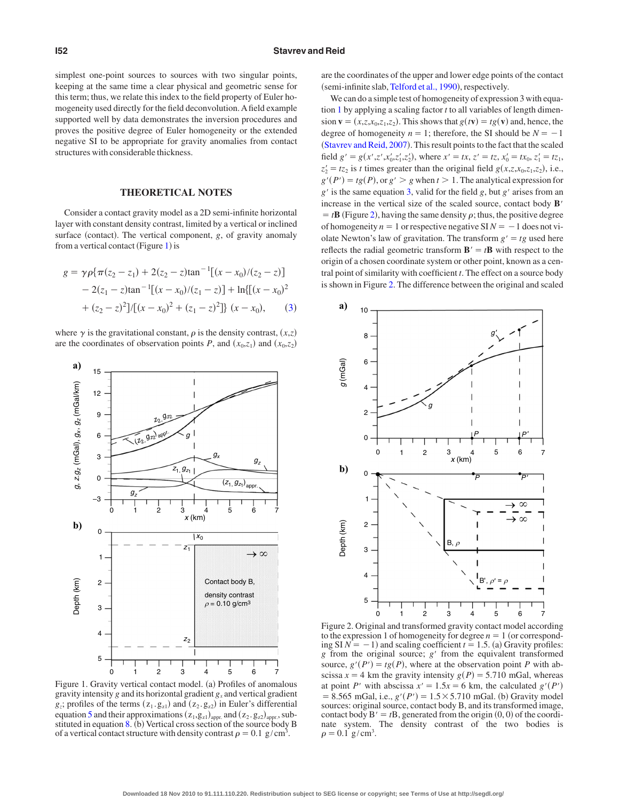simplest one-point sources to sources with two singular points, keeping at the same time a clear physical and geometric sense for this term; thus, we relate this index to the field property of Euler homogeneity used directly for the field deconvolution. A field example supported well by data demonstrates the inversion procedures and proves the positive degree of Euler homogeneity or the extended negative SI to be appropriate for gravity anomalies from contact structures with considerable thickness.

#### **THEORETICAL NOTES**

Consider a contact gravity model as a 2D semi-infinite horizontal layer with constant density contrast, limited by a vertical or inclined surface (contact). The vertical component, *g*, of gravity anomaly from a vertical contact (Figure [1](#page-1-0)) is

<span id="page-1-1"></span>
$$
g = \gamma \rho \{ \pi (z_2 - z_1) + 2(z_2 - z) \tan^{-1} [(x - x_0)/(z_2 - z)]
$$
  
- 2(z\_1 - z) \tan^{-1} [(x - x\_0)/(z\_1 - z)] + ln{[(x - x\_0)^2}  
+ (z\_2 - z)^2]/[(x - x\_0)^2 + (z\_1 - z)^2]} (x - x\_0), (3)

where  $\gamma$  is the gravitational constant,  $\rho$  is the density contrast,  $(x,z)$ are the coordinates of observation points *P*, and  $(x_0, z_1)$  and  $(x_0, z_2)$ 

<span id="page-1-0"></span>

Figure 1. Gravity vertical contact model. (a) Profiles of anomalous gravity intensity *g* and its horizontal gradient *gx* and vertical gradient  $g_z$ ; profiles of the terms  $(z_1, g_{z1})$  and  $(z_2, g_{z2})$  in Euler's differential equation [5](#page-2-0) and their approximations  $(z_1, g_{z1})_{appr.}$  and  $(z_2, g_{z2})_{appr.}$ , substituted in equation  $8.$  (b) Vertical cross section of the source body B of a vertical contact structure with density contrast  $\rho = 0.1 \text{ g/cm}^3$ .

are the coordinates of the upper and lower edge points of the contact (semi-infinite slab, [Telford et al., 1990](#page-7-8)), respectively.

We can do a simple test of homogeneity of expression 3 with equation [1](#page-0-2) by applying a scaling factor *t* to all variables of length dimension  $\mathbf{v} = (x, z, x_0, z_1, z_2)$ . This shows that  $g(t\mathbf{v}) = tg(\mathbf{v})$  and, hence, the degree of homogeneity  $n = 1$ ; therefore, the SI should be  $N = -1$ ([Stavrev and Reid, 2007](#page-7-7)). This result points to the fact that the scaled field  $g' = g(x', z', x'_0, z'_1, z'_2)$ , where  $x' = tx$ ,  $z' = tz$ ,  $x'_0 = tx_0$ ,  $z'_1 = tz_1$ ,  $z'_2 = tz_2$  is *t* times greater than the original field  $g(x, z, x_0, z_1, z_2)$ , i.e.,  $g'(P') = tg(P)$ , or  $g' > g$  when  $t > 1$ . The analytical expression for  $g'$  is the same equation [3,](#page-1-1) valid for the field *g*, but  $g'$  arises from an increase in the vertical size of the scaled source, contact body **B**  $=$  *t***B** (Figure [2](#page-1-2)), having the same density  $\rho$ ; thus, the positive degree of homogeneity  $n = 1$  or respective negative  $SIN = -1$  does not violate Newton's law of gravitation. The transform  $g' = tg$  used here reflects the radial geometric transform  $\mathbf{B}' = t\mathbf{B}$  with respect to the origin of a chosen coordinate system or other point, known as a central point of similarity with coefficient *t*. The effect on a source body is shown in Figure [2.](#page-1-2) The difference between the original and scaled

<span id="page-1-2"></span>

Figure 2. Original and transformed gravity contact model according to the expression 1 of homogeneity for degree  $n = 1$  (or corresponding  $SI N = -1$ ) and scaling coefficient  $t = 1.5$ . (a) Gravity profiles: *g* from the original source; *g'* from the equivalent transformed source,  $g'(P') = tg(P)$ , where at the observation point *P* with abscissa  $x = 4$  km the gravity intensity  $g(P) = 5.710$  mGal, whereas at point *P*<sup>*'*</sup> with abscissa  $x' = 1.5x = 6$  km, the calculated  $g'(P')$ = 8.565 mGal, i.e.,  $g'(P') = 1.5 \times 5.710$  mGal. (b) Gravity model sources: original source, contact body B, and its transformed image, contact body  $B' = tB$ , generated from the origin  $(0, 0)$  of the coordinate system. The density contrast of the two bodies is  $\rho = 0.1 \text{ g/cm}^3$ .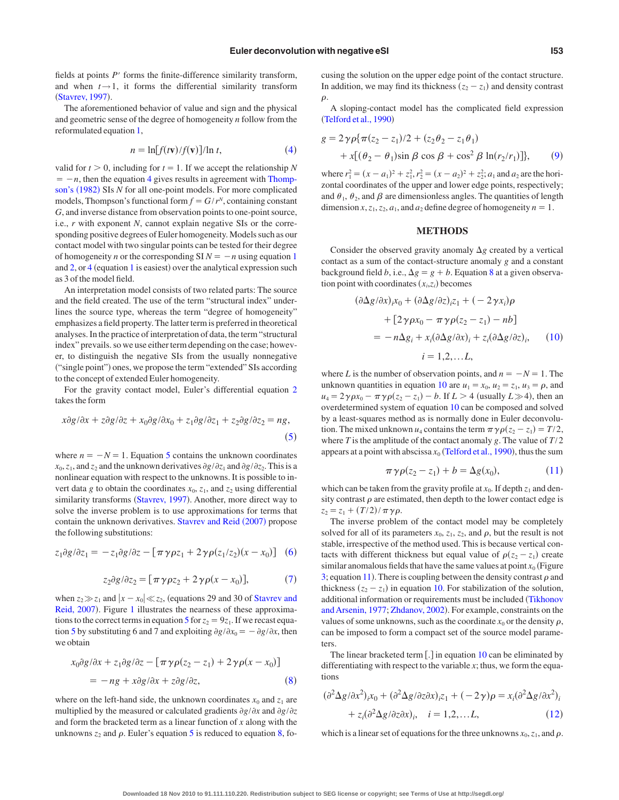fields at points  $P'$  forms the finite-difference similarity transform, and when  $t \rightarrow 1$ , it forms the differential similarity transform ([Stavrev, 1997](#page-7-2)).

The aforementioned behavior of value and sign and the physical and geometric sense of the degree of homogeneity *n* follow from the reformulated equation [1,](#page-0-2)

$$
n = \ln[f(t\mathbf{v})/f(\mathbf{v})]/\ln t,\tag{4}
$$

<span id="page-2-2"></span>valid for  $t > 0$ , including for  $t = 1$ . If we accept the relationship *N*  $= -n$ , then the equation [4](#page-2-2) gives results in agreement with [Thomp](#page-7-1)[son's](#page-7-1) (1982) SIs *N* for all one-point models. For more complicated models, Thompson's functional form  $f = G/r^N$ , containing constant *G*, and inverse distance from observation points to one-point source, i.e., *r* with exponent *N*, cannot explain negative SIs or the corresponding positive degrees of Euler homogeneity. Models such as our contact model with two singular points can be tested for their degree of homogeneity *n* or the corresponding  $\text{SI } N = -n$  using equation [1](#page-0-2) and  $2$ , or  $4$  (equation [1](#page-0-2) is easiest) over the analytical expression such as 3 of the model field.

An interpretation model consists of two related parts: The source and the field created. The use of the term "structural index" underlines the source type, whereas the term "degree of homogeneity" emphasizes a field property. The latter term is preferred in theoretical analyses. In the practice of interpretation of data, the term "structural index" prevails. so we use either term depending on the case; however, to distinguish the negative SIs from the usually nonnegative ("single point") ones, we propose the term "extended" SIs according to the concept of extended Euler homogeneity.

For the gravity contact model, Euler's differential equation [2](#page-0-3) takes the form

<span id="page-2-0"></span>
$$
x\partial g/\partial x + z\partial g/\partial z + x_0\partial g/\partial x_0 + z_1\partial g/\partial z_1 + z_2\partial g/\partial z_2 = ng,\tag{5}
$$

where  $n = -N = 1$ . Equation [5](#page-2-0) contains the unknown coordinates  $x_0$ ,  $z_1$ , and  $z_2$  and the unknown derivatives  $\partial g/\partial z_1$  and  $\partial g/\partial z_2$ . This is a nonlinear equation with respect to the unknowns. It is possible to invert data *g* to obtain the coordinates  $x_0$ ,  $z_1$ , and  $z_2$  using differential similarity transforms ([Stavrev, 1997](#page-7-2)). Another, more direct way to solve the inverse problem is to use approximations for terms that contain the unknown derivatives. [Stavrev and Reid](#page-7-7) (2007) propose the following substitutions:

<span id="page-2-4"></span><span id="page-2-3"></span>
$$
z_1 \partial g/\partial z_1 = -z_1 \partial g/\partial z - \left[\pi \gamma \rho z_1 + 2 \gamma \rho (z_1/z_2)(x - x_0)\right] \tag{6}
$$

$$
z_2 \partial g / \partial z_2 = [\pi \gamma \rho z_2 + 2 \gamma \rho (x - x_0)],\tag{7}
$$

when  $z_2 \gg z_1$  and  $|x - x_0| \ll z_2$ , (equations 29 and 30 of [Stavrev and](#page-7-7) [Reid, 2007](#page-7-7)). Figure [1](#page-1-0) illustrates the nearness of these approxima-tions to the correct terms in equation [5](#page-2-0) for  $z_2 = 9z_1$ . If we recast equa-tion [5](#page-2-0) by substituting 6 and 7 and exploiting  $\partial g / \partial x_0 = -\partial g / \partial x$ , then we obtain

<span id="page-2-1"></span>
$$
x_0 \partial g / \partial x + z_1 \partial g / \partial z - [\pi \gamma \rho (z_2 - z_1) + 2 \gamma \rho (x - x_0)]
$$
  
= 
$$
-ng + x \partial g / \partial x + z \partial g / \partial z,
$$
 (8)

where on the left-hand side, the unknown coordinates  $x_0$  and  $z_1$  are multiplied by the measured or calculated gradients  $\frac{\partial g}{\partial x}$  and  $\frac{\partial g}{\partial z}$ and form the bracketed term as a linear function of *x* along with the unknowns  $z_2$  and  $\rho$ . Euler's equation [5](#page-2-0) is reduced to equation [8,](#page-2-1) focusing the solution on the upper edge point of the contact structure. In addition, we may find its thickness  $(z_2 - z_1)$  and density contrast  $\rho$ 

A sloping-contact model has the complicated field expression  $(Telford et al., 1990)$  $(Telford et al., 1990)$  $(Telford et al., 1990)$ 

<span id="page-2-5"></span>
$$
g = 2\gamma \rho \{\pi (z_2 - z_1)/2 + (z_2 \theta_2 - z_1 \theta_1) + x[(\theta_2 - \theta_1)\sin \beta \cos \beta + \cos^2 \beta \ln(r_2/r_1)]\},
$$
 (9)

where  $r_1^2 = (x - a_1)^2 + z_1^2$ ,  $r_2^2 = (x - a_2)^2 + z_2^2$ ;  $a_1$  and  $a_2$  are the horizontal coordinates of the upper and lower edge points, respectively; and  $\theta_1$ ,  $\theta_2$ , and  $\beta$  are dimensionless angles. The quantities of length dimension *x*, *z*<sub>1</sub>, *z*<sub>2</sub>, *a*<sub>1</sub>, and *a*<sub>2</sub> define degree of homogeneity *n* = 1.

## **METHODS**

Consider the observed gravity anomaly  $\Delta g$  created by a vertical contact as a sum of the contact-structure anomaly *g* and a constant background field *b*, i.e.,  $\Delta g = g + b$ . Equation [8](#page-2-1) at a given observation point with coordinates  $(x_i, z_i)$  becomes

<span id="page-2-6"></span>
$$
(\partial \Delta g / \partial x)_i x_0 + (\partial \Delta g / \partial z)_i z_1 + (-2 \gamma x_i) \rho
$$
  
+ 
$$
[2 \gamma \rho x_0 - \pi \gamma \rho (z_2 - z_1) - nb]
$$
  
= 
$$
-\eta \Delta g_i + x_i (\partial \Delta g / \partial x)_i + z_i (\partial \Delta g / \partial z)_i, \qquad (10)
$$
  

$$
i = 1, 2, ... L,
$$

where *L* is the number of observation points, and  $n = -N = 1$ . The unknown quantities in equation [10](#page-2-6) are  $u_1 = x_0$ ,  $u_2 = z_1$ ,  $u_3 = \rho$ , and  $u_4 = 2\gamma \rho x_0 - \pi \gamma \rho (z_2 - z_1) - b$ . If  $L > 4$  (usually  $L \gg 4$ ), then an overdetermined system of equation [10](#page-2-6) can be composed and solved by a least-squares method as is normally done in Euler deconvolution. The mixed unknown  $u_4$  contains the term  $\pi \gamma \rho(z_2 - z_1) = T/2$ , where  $T$  is the amplitude of the contact anomaly  $g$ . The value of  $T/2$ appears at a point with abscissa  $x_0$  ([Telford et al., 1990](#page-7-8)), thus the sum

$$
\pi \gamma \rho(z_2 - z_1) + b = \Delta g(x_0), \qquad (11)
$$

<span id="page-2-7"></span>which can be taken from the gravity profile at  $x_0$ . If depth  $z_1$  and density contrast  $\rho$  are estimated, then depth to the lower contact edge is  $z_2 = z_1 + (T/2)/\pi \gamma \rho$ .

The inverse problem of the contact model may be completely solved for all of its parameters  $x_0$ ,  $z_1$ ,  $z_2$ , and  $\rho$ , but the result is not stable, irrespective of the method used. This is because vertical contacts with different thickness but equal value of  $\rho(z_2 - z_1)$  create similar anomalous fields that have the same values at point  $x_0$  (Figure [3;](#page-3-0) equation [11](#page-2-7)). There is coupling between the density contrast  $\rho$  and thickness  $(z_2 - z_1)$  in equation [10.](#page-2-6) For stabilization of the solution, additional information or requirements must be included ([Tikhonov](#page-7-9) [and Arsenin, 1977;](#page-7-9) [Zhdanov, 2002](#page-7-10)). For example, constraints on the values of some unknowns, such as the coordinate  $x_0$  or the density  $\rho$ , can be imposed to form a compact set of the source model parameters.

The linear bracketed term  $[.]$  in equation [10](#page-2-6) can be eliminated by differentiating with respect to the variable *x*; thus, we form the equations

<span id="page-2-8"></span>
$$
(\partial^2 \Delta g / \partial x^2)_{i} x_0 + (\partial^2 \Delta g / \partial z \partial x)_{i} z_1 + (-2\gamma) \rho = x_i (\partial^2 \Delta g / \partial x^2)_i
$$
  
+ 
$$
z_i (\partial^2 \Delta g / \partial z \partial x)_i, \quad i = 1, 2, \dots L,
$$
 (12)

which is a linear set of equations for the three unknowns  $x_0$ ,  $z_1$ , and  $\rho$ .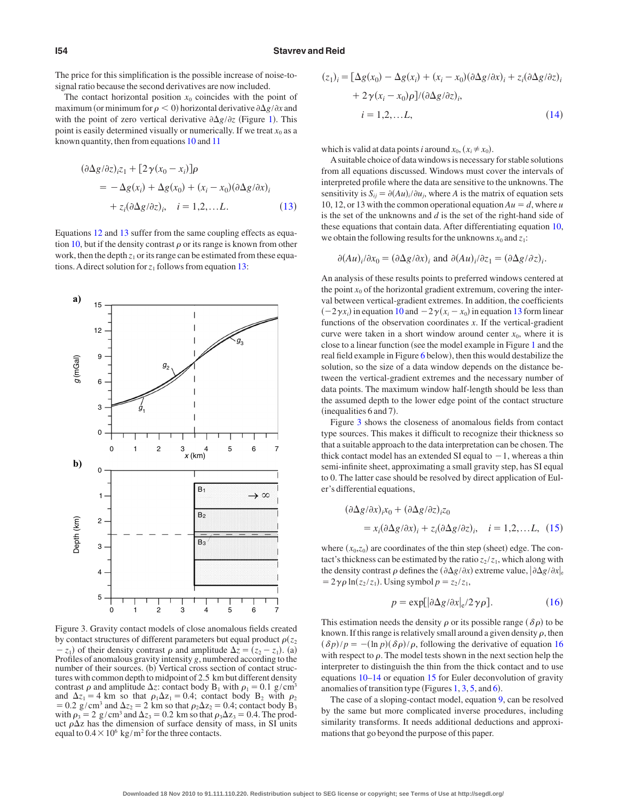#### **I54 Stavrev and Reid**

The price for this simplification is the possible increase of noise-tosignal ratio because the second derivatives are now included.

The contact horizontal position  $x_0$  coincides with the point of maximum (or minimum for  $\rho < 0$ ) horizontal derivative  $\partial \Delta g / \partial x$  and with the point of zero vertical derivative  $\partial \Delta g / \partial z$  (Figure [1](#page-1-0)). This point is easily determined visually or numerically. If we treat  $x_0$  as a known quantity, then from equations [10](#page-2-6) and [11](#page-2-7)

<span id="page-3-1"></span>
$$
(\partial \Delta g/\partial z)_{i}z_{1} + [2\gamma(x_{0} - x_{i})]\rho
$$
  
=  $-\Delta g(x_{i}) + \Delta g(x_{0}) + (x_{i} - x_{0})(\partial \Delta g/\partial x)_{i}$   
+  $z_{i}(\partial \Delta g/\partial z)_{i}, \quad i = 1, 2, ...L.$  (13)

Equations [12](#page-2-8) and [13](#page-3-1) suffer from the same coupling effects as equa-tion [10,](#page-2-6) but if the density contrast  $\rho$  or its range is known from other work, then the depth  $z_1$  or its range can be estimated from these equations. A direct solution for  $z_1$  follows from equation [13:](#page-3-1)

<span id="page-3-0"></span>

Figure 3. Gravity contact models of close anomalous fields created by contact structures of different parameters but equal product  $\rho(z_2)$  $(z_1 - z_1)$  of their density contrast  $\rho$  and amplitude  $\Delta z = (z_2 - z_1)$ . (a) Profiles of anomalous gravity intensity *g*, numbered according to the number of their sources. (b) Vertical cross section of contact structures with common depth to midpoint of 2.5 km but different density contrast  $\rho$  and amplitude  $\Delta z$ : contact body B<sub>1</sub> with  $\rho_1 = 0.1$  g/cm<sup>3</sup> and  $\Delta z_1 = 4$  km so that  $\rho_1 \Delta z_1 = 0.4$ ; contact body B<sub>2</sub> with  $\rho_2$  $= 0.2$  g/cm<sup>3</sup> and  $\Delta z_2 = 2$  km so that  $\rho_2 \Delta z_2 = 0.4$ ; contact body B<sub>3</sub> with  $\rho_3 = 2$  g/cm<sup>3</sup> and  $\Delta z_3 = 0.2$  km so that  $\rho_3 \Delta z_3 = 0.4$ . The product  $\rho \Delta z$  has the dimension of surface density of mass, in SI units equal to  $0.4 \times 10^6$  kg/m<sup>2</sup> for the three contacts.

<span id="page-3-2"></span>
$$
(z1)i = [\Delta g(x0) - \Delta g(xi) + (xi - x0)(\partial \Delta g/\partial x)i + zi(\partial \Delta g/\partial z)i + 2\gamma(xi - x0)\rho]/(\partial \Delta g/\partial z)i, \ni = 1,2,...L,
$$
 (14)

which is valid at data points *i* around  $x_0$ ,  $(x_i \neq x_0)$ .

Asuitable choice of data windows is necessary for stable solutions from all equations discussed. Windows must cover the intervals of interpreted profile where the data are sensitive to the unknowns. The sensitivity is  $S_{ij} = \partial (Au)_i / \partial u_j$ , where *A* is the matrix of equation sets 10, 12, or 13 with the common operational equation  $Au = d$ , where *u* is the set of the unknowns and *d* is the set of the right-hand side of these equations that contain data. After differentiating equation [10,](#page-2-6) we obtain the following results for the unknowns  $x_0$  and  $z_1$ :

$$
\partial (Au)_i/\partial x_0 = (\partial \Delta g/\partial x)_i \text{ and } \partial (Au)_i/\partial z_1 = (\partial \Delta g/\partial z)_i.
$$

An analysis of these results points to preferred windows centered at the point  $x_0$  of the horizontal gradient extremum, covering the interval between vertical-gradient extremes. In addition, the coefficients  $(-2\gamma x_i)$  in equation [10](#page-2-6) and  $-2\gamma(x_i - x_0)$  in equation [13](#page-3-1) form linear functions of the observation coordinates *x*. If the vertical-gradient curve were taken in a short window around center  $x_0$ , where it is close to a linear function (see the model example in Figure [1](#page-1-0) and the real field example in Figure [6](#page-5-0) below), then this would destabilize the solution, so the size of a data window depends on the distance between the vertical-gradient extremes and the necessary number of data points. The maximum window half-length should be less than the assumed depth to the lower edge point of the contact structure (inequalities 6 and 7).

Figure [3](#page-3-0) shows the closeness of anomalous fields from contact type sources. This makes it difficult to recognize their thickness so that a suitable approach to the data interpretation can be chosen. The thick contact model has an extended SI equal to  $-1$ , whereas a thin semi-infinite sheet, approximating a small gravity step, has SI equal to 0. The latter case should be resolved by direct application of Euler's differential equations,

<span id="page-3-3"></span>
$$
(\partial \Delta g / \partial x)_{i} x_{0} + (\partial \Delta g / \partial z)_{i} z_{0}
$$
  
=  $x_{i} (\partial \Delta g / \partial x)_{i} + z_{i} (\partial \Delta g / \partial z)_{i}, \quad i = 1, 2, \dots L, (15)$ 

where  $(x_0, z_0)$  are coordinates of the thin step (sheet) edge. The contact's thickness can be estimated by the ratio  $z_2 / z_1$ , which along with the density contrast  $\rho$  defines the  $(\partial \Delta g / \partial x)$  extreme value,  $|\partial \Delta g / \partial x|_e$  $= 2\gamma \rho \ln(z_2 / z_1)$ . Using symbol  $p = z_2 / z_1$ ,

$$
p = \exp[\left|\frac{\partial \Delta g}{\partial x}\right|_{e} / 2\gamma \rho].\tag{16}
$$

<span id="page-3-4"></span>This estimation needs the density  $\rho$  or its possible range  $(\delta \rho)$  to be known. If this range is relatively small around a given density  $\rho$ , then  $(\delta p)/p = -(\ln p)(\delta p)/\rho$ , following the derivative of equation [16](#page-3-4) with respect to  $\rho$ . The model tests shown in the next section help the interpreter to distinguish the thin from the thick contact and to use equations [10–](#page-2-6)[14](#page-3-2) or equation [15](#page-3-3) for Euler deconvolution of gravity anomalies of transition type (Figures  $1, 3, 5$  $1, 3, 5$  $1, 3, 5$  $1, 3, 5$ , and  $6$ ).

The case of a sloping-contact model, equation [9,](#page-2-5) can be resolved by the same but more complicated inverse procedures, including similarity transforms. It needs additional deductions and approximations that go beyond the purpose of this paper.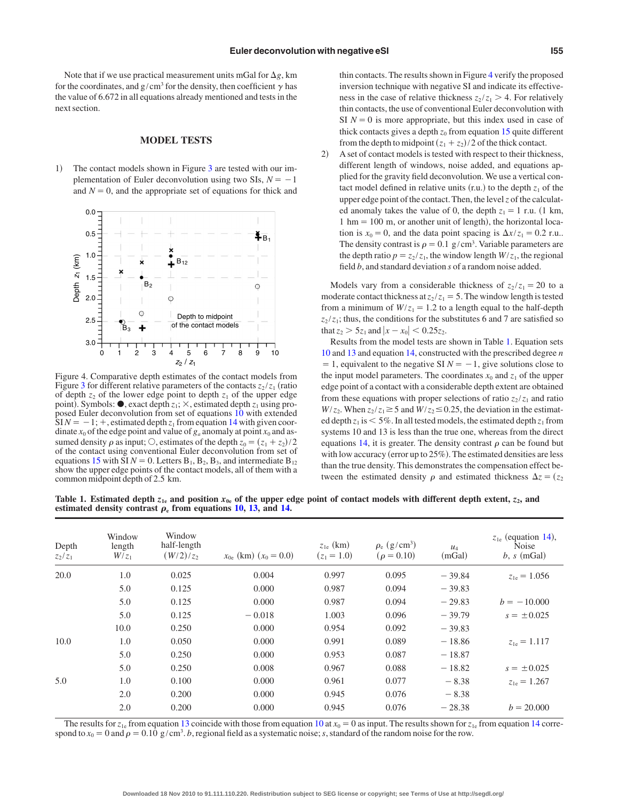Note that if we use practical measurement units mGal for  $\Delta g$ , km for the coordinates, and  $g/cm^3$  for the density, then coefficient  $\gamma$  has the value of 6.672 in all equations already mentioned and tests in the next section.

#### **MODEL TESTS**

1- The contact models shown in Figure [3](#page-3-0) are tested with our implementation of Euler deconvolution using two SIs,  $N = -1$ and  $N = 0$ , and the appropriate set of equations for thick and

<span id="page-4-0"></span>

Figure 4. Comparative depth estimates of the contact models from Figure [3](#page-3-0) for different relative parameters of the contacts  $z_2 / z_1$  (ratio of depth  $z_2$  of the lower edge point to depth  $z_1$  of the upper edge point). Symbols:  $\bullet$ , exact depth  $z_1$ ;  $\times$ , estimated depth  $z_1$  using pro-posed Euler deconvolution from set of equations [10](#page-2-6) with extended  $\text{SIN} = -1$ ; +, estimated depth  $z_1$  from equation [14](#page-3-2) with given coordinate  $x_0$  of the edge point and value of  $g_a$  anomaly at point  $x_0$  and assumed density  $\rho$  as input;  $\circ$ , estimates of the depth  $z_0 = (z_1 + z_2)/2$ of the contact using conventional Euler deconvolution from set of equations [15](#page-3-3) with SI  $N = 0$ . Letters  $B_1$ ,  $B_2$ ,  $B_3$ , and intermediate  $B_{12}$ show the upper edge points of the contact models, all of them with a common midpoint depth of 2.5 km.

thin contacts. The results shown in Figure [4](#page-4-0) verify the proposed inversion technique with negative SI and indicate its effectiveness in the case of relative thickness  $z_2 / z_1 > 4$ . For relatively thin contacts, the use of conventional Euler deconvolution with SI  $N = 0$  is more appropriate, but this index used in case of thick contacts gives a depth  $z_0$  from equation [15](#page-3-3) quite different from the depth to midpoint  $(z_1 + z_2)/2$  of the thick contact.

 $\mathbf{2}$  A set of contact models is tested with respect to their thickness, different length of windows, noise added, and equations applied for the gravity field deconvolution. We use a vertical contact model defined in relative units  $(r.u.)$  to the depth  $z<sub>1</sub>$  of the upper edge point of the contact. Then, the level*z* of the calculated anomaly takes the value of 0, the depth  $z_1 = 1$  r.u. (1 km,  $1 \text{ hm} = 100 \text{ m}$ , or another unit of length), the horizontal location is  $x_0 = 0$ , and the data point spacing is  $\Delta x / z_1 = 0.2$  r.u.. The density contrast is  $\rho = 0.1$  g/cm<sup>3</sup>. Variable parameters are the depth ratio  $p = z_2 / z_1$ , the window length  $W/z_1$ , the regional field *b*, and standard deviation *s* of a random noise added.

Models vary from a considerable thickness of  $z_2/z_1 = 20$  to a moderate contact thickness at  $z_2 / z_1 = 5$ . The window length is tested from a minimum of  $W/z_1 = 1.2$  to a length equal to the half-depth  $z_2 / z_1$ ; thus, the conditions for the substitutes 6 and 7 are satisfied so that  $z_2 > 5z_1$  and  $|x - x_0| < 0.25z_2$ .

Results from the model tests are shown in Table [1.](#page-4-1) Equation sets [10](#page-2-6) and [13](#page-3-1) and equation [14,](#page-3-2) constructed with the prescribed degree *n*  $= 1$ , equivalent to the negative SI  $N = -1$ , give solutions close to the input model parameters. The coordinates  $x_0$  and  $z_1$  of the upper edge point of a contact with a considerable depth extent are obtained from these equations with proper selections of ratio  $z_2 / z_1$  and ratio  $W/z_2$ . When  $z_2/z_1 \geq 5$  and  $W/z_2 \leq 0.25$ , the deviation in the estimated depth  $z_1$  is  $\leq 5\%$ . In all tested models, the estimated depth  $z_1$  from systems 10 and 13 is less than the true one, whereas from the direct equations [14,](#page-3-2) it is greater. The density contrast  $\rho$  can be found but with low accuracy (error up to 25%). The estimated densities are less than the true density. This demonstrates the compensation effect between the estimated density  $\rho$  and estimated thickness  $\Delta z = (z_2)$ 

<span id="page-4-1"></span>Table 1. Estimated depth  $z_{1e}$  and position  $x_{0e}$  of the upper edge point of contact models with different depth extent,  $z_2$ , and **estimated density contrast**  $\rho_e$  from equations [10,](#page-2-6) [13,](#page-3-1) and [14.](#page-3-2)

| Depth<br>$z_2/z_1$ | Window<br>length<br>$W/z_1$ | Window<br>half-length<br>$(W/2)/z_2$ | $x_{0e}$ (km) $(x_0 = 0.0)$ | $z_{1e}$ (km)<br>$(z_1 = 1.0)$ | $\rho_e$ (g/cm <sup>3</sup> )<br>$(\rho = 0.10)$ | $u_4$<br>(mGal) | $z_{1e}$ (equation 14),<br>Noise<br>$b, s \pmod{3}$ |
|--------------------|-----------------------------|--------------------------------------|-----------------------------|--------------------------------|--------------------------------------------------|-----------------|-----------------------------------------------------|
| 20.0               | 1.0                         | 0.025                                | 0.004                       | 0.997                          | 0.095                                            | $-39.84$        | $z_{1e} = 1.056$                                    |
|                    | 5.0                         | 0.125                                | 0.000                       | 0.987                          | 0.094                                            | $-39.83$        |                                                     |
|                    | 5.0                         | 0.125                                | 0.000                       | 0.987                          | 0.094                                            | $-29.83$        | $b = -10,000$                                       |
|                    | 5.0                         | 0.125                                | $-0.018$                    | 1.003                          | 0.096                                            | $-39.79$        | $s = \pm 0.025$                                     |
|                    | 10.0                        | 0.250                                | 0.000                       | 0.954                          | 0.092                                            | $-39.83$        |                                                     |
| 10.0               | 1.0                         | 0.050                                | 0.000                       | 0.991                          | 0.089                                            | $-18.86$        | $z_{1e} = 1.117$                                    |
|                    | 5.0                         | 0.250                                | 0.000                       | 0.953                          | 0.087                                            | $-18.87$        |                                                     |
|                    | 5.0                         | 0.250                                | 0.008                       | 0.967                          | 0.088                                            | $-18.82$        | $s = \pm 0.025$                                     |
| 5.0                | 1.0                         | 0.100                                | 0.000                       | 0.961                          | 0.077                                            | $-8.38$         | $z_{1e} = 1.267$                                    |
|                    | 2.0                         | 0.200                                | 0.000                       | 0.945                          | 0.076                                            | $-8.38$         |                                                     |
|                    | 2.0                         | 0.200                                | 0.000                       | 0.945                          | 0.076                                            | $-28.38$        | $b = 20.000$                                        |
|                    |                             |                                      |                             |                                |                                                  |                 |                                                     |

The results for  $z_{1e}$  from equation [13](#page-3-1) coincide with those from equation [10](#page-2-6) at  $x_0 = 0$  as input. The results shown for  $z_{1e}$  from equation [14](#page-3-2) correspond to  $x_0 = 0$  and  $\rho = 0.10$  g/cm<sup>3</sup>. *b*, regional field as a systematic noise; *s*, standard of the random noise for the row.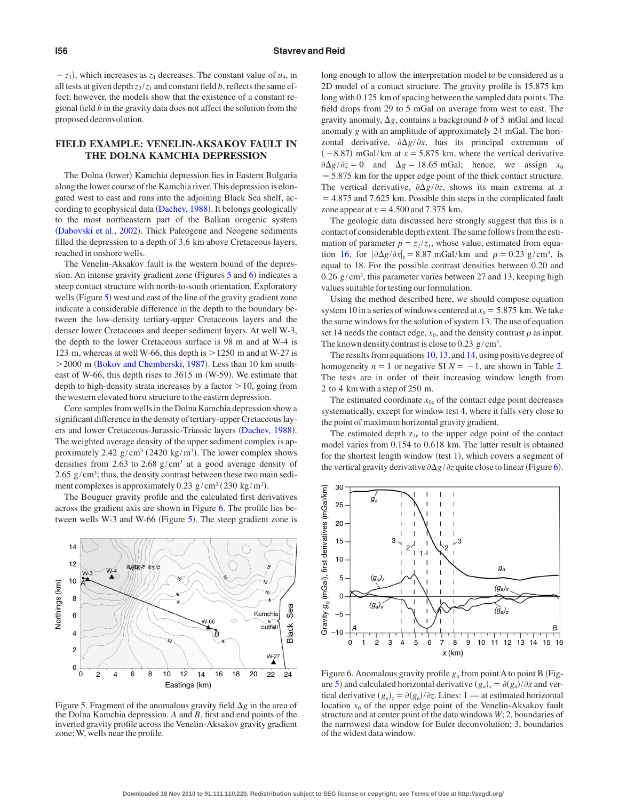$-z_1$ ), which increases as  $z_1$  decreases. The constant value of  $u_4$ , in all tests at given depth  $z_2 / z_1$  and constant field *b*, reflects the same effect; however, the models show that the existence of a constant regional field *b* in the gravity data does not affect the solution from the proposed deconvolution.

# **FIELD EXAMPLE: VENELIN-AKSAKOV FAULT IN THE DOLNA KAMCHIA DEPRESSION**

The Dolna (lower) Kamchia depression lies in Eastern Bulgaria along the lower course of the Kamchia river. This depression is elongated west to east and runs into the adjoining Black Sea shelf, ac-cording to geophysical data ([Dachev, 1988](#page-6-4)). It belongs geologically to the most northeastern part of the Balkan orogenic system ([Dabovski et al., 2002](#page-6-5)). Thick Paleogene and Neogene sediments filled the depression to a depth of 3.6 km above Cretaceous layers, reached in onshore wells.

The Venelin-Aksakov fault is the western bound of the depres-sion. An intense gravity gradient zone (Figures [5](#page-5-1) and [6](#page-5-0)) indicates a steep contact structure with north-to-south orientation. Exploratory wells (Figure [5](#page-5-1)) west and east of the line of the gravity gradient zone indicate a considerable difference in the depth to the boundary between the low-density tertiary-upper Cretaceous layers and the denser lower Cretaceous and deeper sediment layers. At well W-3, the depth to the lower Cretaceous surface is 98 m and at W-4 is 123 m, whereas at well W-66, this depth is  $>$  1250 m and at W-27 is > 2000 m ([Bokov and Chemberski, 1987](#page-6-6)). Less than 10 km southeast of W-66, this depth rises to 3615 m (W-59). We estimate that depth to high-density strata increases by a factor  $>$  10, going from the western elevated horst structure to the eastern depression.

Core samples from wells in the Dolna Kamchia depression show a significant difference in the density of tertiary-upper Cretaceous lay-ers and lower Cretaceous-Jurassic-Triassic layers ([Dachev, 1988](#page-6-4)). The weighted average density of the upper sediment complex is approximately  $2.42$  g/cm<sup>3</sup> ( $2420$  kg/m<sup>3</sup>). The lower complex shows densities from 2.63 to 2.68  $g/cm<sup>3</sup>$  at a good average density of 2.65  $g/cm<sup>3</sup>$ ; thus, the density contrast between these two main sediment complexes is approximately 0.23  $g/cm^3$  (230 kg/m<sup>3</sup>).

The Bouguer gravity profile and the calculated first derivatives across the gradient axis are shown in Figure [6.](#page-5-0) The profile lies be-tween wells W-3 and W-66 (Figure [5](#page-5-1)). The steep gradient zone is

<span id="page-5-1"></span>

Figure 5. Fragment of the anomalous gravity field  $\Delta g$  in the area of the Dolna Kamchia depression. *A* and *B*, first and end points of the inverted gravity profile across the Venelin-Aksakov gravity gradient zone;W, wells near the profile.

long enough to allow the interpretation model to be considered as a 2D model of a contact structure. The gravity profile is 15.875 km long with 0.125 km of spacing between the sampled data points. The field drops from 29 to 5 mGal on average from west to east. The gravity anomaly,  $\Delta g$ , contains a background *b* of 5 mGal and local anomaly *g* with an amplitude of approximately 24 mGal. The horizontal derivative,  $\partial \Delta g / \partial x$ , has its principal extremum of  $(-8.87)$  mGal/km at  $x = 5.875$  km, where the vertical derivative  $\partial \Delta g / \partial z = 0$  and  $\Delta g = 18.65$  mGal; hence, we assign  $x_0$ -5.875 km for the upper edge point of the thick contact structure. The vertical derivative,  $\partial \Delta g / \partial z$ , shows its main extrema at *x* -4.875 and 7.625 km. Possible thin steps in the complicated fault zone appear at  $x = 4.500$  and 7.375 km.

The geologic data discussed here strongly suggest that this is a contact of considerable depth extent. The same follows from the estimation of parameter  $p = z_2 / z_1$ , whose value, estimated from equa-tion [16,](#page-3-4) for  $|\partial \Delta g / \partial x|_{e} = 8.87$  mGal/km and  $\rho = 0.23$  g/cm<sup>3</sup>, is equal to 18. For the possible contrast densities between 0.20 and 0.26 g/cm<sup>3</sup>, this parameter varies between 27 and 13, keeping high values suitable for testing our formulation.

Using the method described here, we should compose equation system 10 in a series of windows centered at  $x_0 = 5.875$  km. We take the same windows for the solution of system 13. The use of equation set 14 needs the contact edge,  $x_0$ , and the density contrast  $\rho$  as input. The known density contrast is close to 0.23  $g/cm<sup>3</sup>$ .

The results from equations [10,](#page-2-6) [13,](#page-3-1) and [14,](#page-3-2) using positive degree of homogeneity  $n = 1$  or negative SI  $N = -1$ , are shown in Table [2.](#page-6-7) The tests are in order of their increasing window length from 2 to 4 km with a step of 250 m.

The estimated coordinate  $x_{0e}$  of the contact edge point decreases systematically, except for window test 4, where it falls very close to the point of maximum horizontal gravity gradient.

The estimated depth  $z_{1e}$  to the upper edge point of the contact model varies from 0.154 to 0.618 km. The latter result is obtained for the shortest length window (test 1), which covers a segment of the vertical gravity derivative  $\partial \Delta g / \partial z$  quite close to linear (Figure [6](#page-5-0)).

<span id="page-5-0"></span>

Figure 6. Anomalous gravity profile  $g_a$  from point A to point B (Fig-ure [5](#page-5-1)) and calculated horizontal derivative  $(g_a)_x = \partial(g_a)/\partial x$  and vertical derivative  $(g_a)_z = \partial(g_a)/\partial z$ . Lines: 1 — at estimated horizontal location  $x_0$  of the upper edge point of the Venelin-Aksakov fault structure and at center point of the data windows *W*; 2, boundaries of the narrowest data window for Euler deconvolution; 3, boundaries of the widest data window.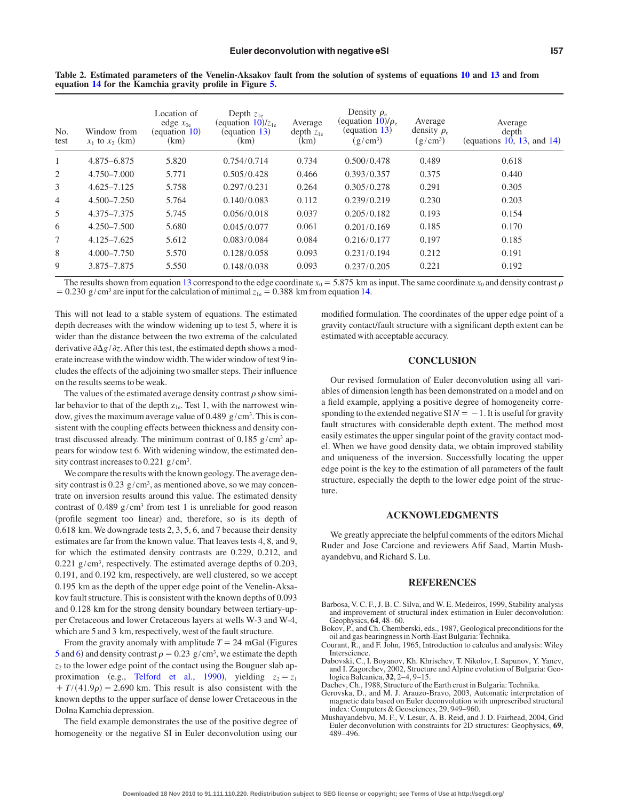| No.<br>test    | Window from<br>$x_1$ to $x_2$ (km) | Location of<br>edge $x_{0e}$<br>(equation 10)<br>(km) | Depth $z_{1e}$<br>(equation $10$ )/ $z_{1e}$<br>(equation 13)<br>(km) | Average<br>depth $z_{1e}$<br>(km) | Density $\rho_e$<br>(equation $10$ )/ $\rho_e$<br>$\left(\frac{equation 13}{\right)$<br>$(g/cm^3)$ | Average<br>density $\rho_e$<br>$(g/cm^3)$ | Average<br>depth<br>(equations $10, 13,$ and $14$ ) |
|----------------|------------------------------------|-------------------------------------------------------|-----------------------------------------------------------------------|-----------------------------------|----------------------------------------------------------------------------------------------------|-------------------------------------------|-----------------------------------------------------|
| 1              | 4.875-6.875                        | 5.820                                                 | 0.754/0.714                                                           | 0.734                             | 0.500/0.478                                                                                        | 0.489                                     | 0.618                                               |
| 2              | $4.750 - 7.000$                    | 5.771                                                 | 0.505/0.428                                                           | 0.466                             | 0.393/0.357                                                                                        | 0.375                                     | 0.440                                               |
| 3              | $4.625 - 7.125$                    | 5.758                                                 | 0.297/0.231                                                           | 0.264                             | 0.305/0.278                                                                                        | 0.291                                     | 0.305                                               |
| $\overline{4}$ | $4.500 - 7.250$                    | 5.764                                                 | 0.140/0.083                                                           | 0.112                             | 0.239/0.219                                                                                        | 0.230                                     | 0.203                                               |
| 5              | 4.375-7.375                        | 5.745                                                 | 0.056/0.018                                                           | 0.037                             | 0.205/0.182                                                                                        | 0.193                                     | 0.154                                               |
| 6              | 4.250-7.500                        | 5.680                                                 | 0.045/0.077                                                           | 0.061                             | 0.201/0.169                                                                                        | 0.185                                     | 0.170                                               |
| 7              | 4.125-7.625                        | 5.612                                                 | 0.083/0.084                                                           | 0.084                             | 0.216/0.177                                                                                        | 0.197                                     | 0.185                                               |
| 8              | $4.000 - 7.750$                    | 5.570                                                 | 0.128/0.058                                                           | 0.093                             | 0.231/0.194                                                                                        | 0.212                                     | 0.191                                               |
| 9              | 3.875-7.875                        | 5.550                                                 | 0.148/0.038                                                           | 0.093                             | 0.237/0.205                                                                                        | 0.221                                     | 0.192                                               |

<span id="page-6-7"></span>**Table 2. Estimated parameters of the Venelin-Aksakov fault from the solution of systems of equations [10](#page-2-6) and [13](#page-3-1) and from equation [14](#page-3-2) for the Kamchia gravity profile in Figure [5.](#page-5-1)**

The results shown from equation [13](#page-3-1) correspond to the edge coordinate  $x_0 = 5.875$  km as input. The same coordinate  $x_0$  and density contrast  $\rho$  $= 0.230 \text{ g/cm}^3$  are input for the calculation of minimal  $z_{1e} = 0.388 \text{ km}$  from equation [14.](#page-3-2)

This will not lead to a stable system of equations. The estimated depth decreases with the window widening up to test 5, where it is wider than the distance between the two extrema of the calculated derivative  $\partial \Delta g / \partial z$ . After this test, the estimated depth shows a moderate increase with the window width. The wider window of test 9 includes the effects of the adjoining two smaller steps. Their influence on the results seems to be weak.

The values of the estimated average density contrast  $\rho$  show similar behavior to that of the depth  $z_{1e}$ . Test 1, with the narrowest window, gives the maximum average value of  $0.489 \text{ g/cm}^3$ . This is consistent with the coupling effects between thickness and density contrast discussed already. The minimum contrast of  $0.185$  g/cm<sup>3</sup> appears for window test 6. With widening window, the estimated density contrast increases to  $0.221$  g/cm<sup>3</sup>.

We compare the results with the known geology. The average density contrast is 0.23  $g/cm<sup>3</sup>$ , as mentioned above, so we may concentrate on inversion results around this value. The estimated density contrast of 0.489  $g/cm<sup>3</sup>$  from test 1 is unreliable for good reason (profile segment too linear) and, therefore, so is its depth of 0.618 km. We downgrade tests 2, 3, 5, 6, and 7 because their density estimates are far from the known value. That leaves tests 4, 8, and 9, for which the estimated density contrasts are 0.229, 0.212, and  $0.221$  g/cm<sup>3</sup>, respectively. The estimated average depths of  $0.203$ , 0.191, and 0.192 km, respectively, are well clustered, so we accept 0.195 km as the depth of the upper edge point of the Venelin-Aksakov fault structure. This is consistent with the known depths of 0.093 and 0.128 km for the strong density boundary between tertiary-upper Cretaceous and lower Cretaceous layers at wells W-3 and W-4, which are 5 and 3 km, respectively, west of the fault structure.

From the gravity anomaly with amplitude  $T = 24$  mGal (Figures [5](#page-5-1) and [6](#page-5-0)) and density contrast  $\rho = 0.23$  g/cm<sup>3</sup>, we estimate the depth  $z<sub>2</sub>$  to the lower edge point of the contact using the Bouguer slab ap-proximation (e.g., [Telford et al., 1990](#page-7-8)), yielding  $z_2 = z_1$  $T/(41.9\rho) = 2.690$  km. This result is also consistent with the known depths to the upper surface of dense lower Cretaceous in the Dolna Kamchia depression.

The field example demonstrates the use of the positive degree of homogeneity or the negative SI in Euler deconvolution using our

modified formulation. The coordinates of the upper edge point of a gravity contact/fault structure with a significant depth extent can be estimated with acceptable accuracy.

## **CONCLUSION**

Our revised formulation of Euler deconvolution using all variables of dimension length has been demonstrated on a model and on a field example, applying a positive degree of homogeneity corresponding to the extended negative  $SIN = -1$ . It is useful for gravity fault structures with considerable depth extent. The method most easily estimates the upper singular point of the gravity contact model. When we have good density data, we obtain improved stability and uniqueness of the inversion. Successfully locating the upper edge point is the key to the estimation of all parameters of the fault structure, especially the depth to the lower edge point of the structure.

#### **ACKNOWLEDGMENTS**

We greatly appreciate the helpful comments of the editors Michal Ruder and Jose Carcione and reviewers Afif Saad, Martin Mushayandebvu, and Richard S. Lu.

#### **REFERENCES**

- <span id="page-6-0"></span>Barbosa, V. C. F., J. B. C. Silva, and W. E. Medeiros, 1999, Stability analysis and improvement of structural index estimation in Euler deconvolution: Geophysics, **64**, 48–60.
- <span id="page-6-6"></span>Bokov, P., and Ch. Chemberski, eds., 1987, Geological preconditions for the oil and gas bearingness in North-East Bulgaria: Technika.
- <span id="page-6-3"></span>Courant, R., and F. John, 1965, Introduction to calculus and analysis: Wiley Interscience.
- <span id="page-6-5"></span>Dabovski, C., I. Boyanov, Kh. Khrischev, T. Nikolov, I. Sapunov, Y. Yanev, and I. Zagorchev, 2002, Structure and Alpine evolution of Bulgaria: Geologica Balcanica, **32**, 2–4, 9–15.
- <span id="page-6-4"></span><span id="page-6-1"></span>Dachev, Ch., 1988, Structure of the Earth crust in Bulgaria: Technika.
- Gerovska, D., and M. J. Arauzo-Bravo, 2003, Automatic interpretation of magnetic data based on Euler deconvolution with unprescribed structural index: Computers & Geosciences, 29, 949–960.
- <span id="page-6-2"></span>Mushayandebvu, M. F., V. Lesur, A. B. Reid, and J. D. Fairhead, 2004, Grid Euler deconvolution with constraints for 2D structures: Geophysics, **<sup>69</sup>**, 489–496.